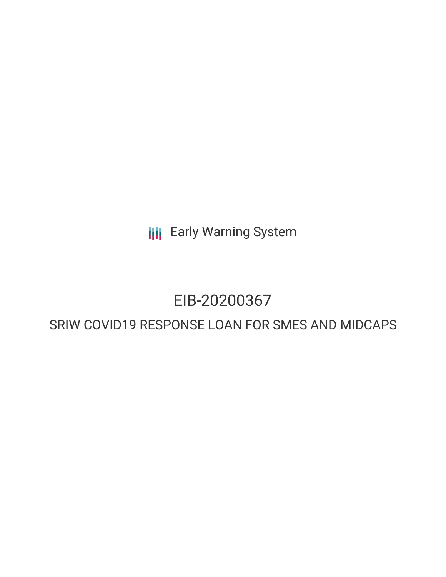**III** Early Warning System

# EIB-20200367

# SRIW COVID19 RESPONSE LOAN FOR SMES AND MIDCAPS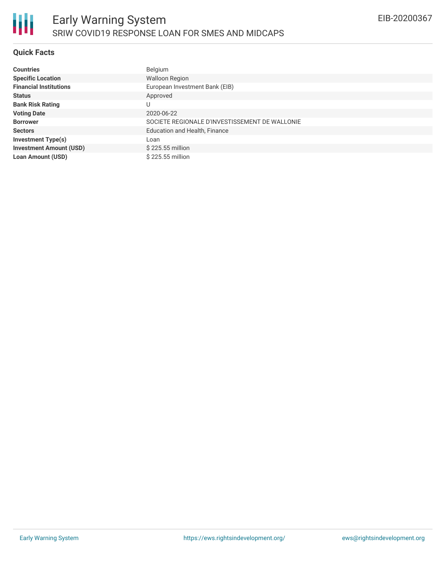# **Quick Facts**

| <b>Countries</b>               | Belgium                                        |
|--------------------------------|------------------------------------------------|
| <b>Specific Location</b>       | <b>Walloon Region</b>                          |
| <b>Financial Institutions</b>  | European Investment Bank (EIB)                 |
| <b>Status</b>                  | Approved                                       |
| <b>Bank Risk Rating</b>        | U                                              |
| <b>Voting Date</b>             | 2020-06-22                                     |
| <b>Borrower</b>                | SOCIETE REGIONALE D'INVESTISSEMENT DE WALLONIE |
| <b>Sectors</b>                 | Education and Health, Finance                  |
| <b>Investment Type(s)</b>      | Loan                                           |
| <b>Investment Amount (USD)</b> | \$225.55 million                               |
| <b>Loan Amount (USD)</b>       | \$225.55 million                               |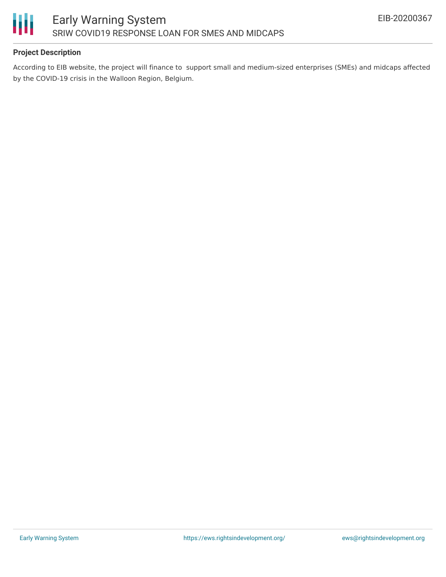

# **Project Description**

According to EIB website, the project will finance to support small and medium-sized enterprises (SMEs) and midcaps affected by the COVID-19 crisis in the Walloon Region, Belgium.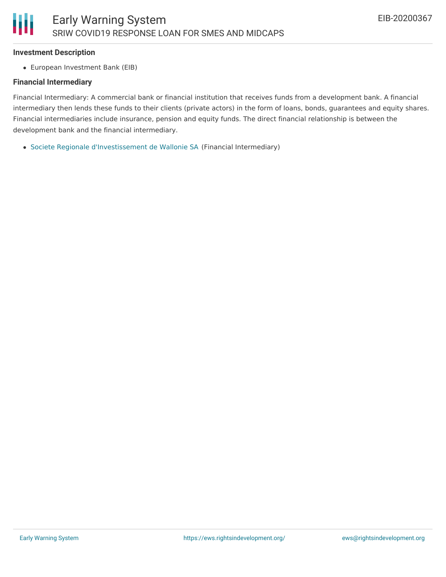#### **Investment Description**

Ш

European Investment Bank (EIB)

#### **Financial Intermediary**

Financial Intermediary: A commercial bank or financial institution that receives funds from a development bank. A financial intermediary then lends these funds to their clients (private actors) in the form of loans, bonds, guarantees and equity shares. Financial intermediaries include insurance, pension and equity funds. The direct financial relationship is between the development bank and the financial intermediary.

Societe Regionale [d'Investissement](file:///actor/3280/) de Wallonie SA (Financial Intermediary)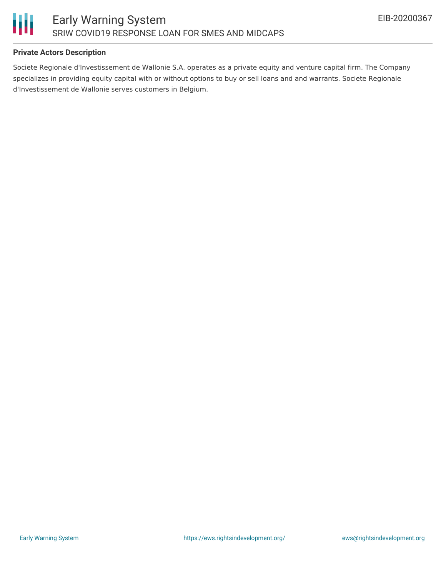

# **Private Actors Description**

Societe Regionale d'Investissement de Wallonie S.A. operates as a private equity and venture capital firm. The Company specializes in providing equity capital with or without options to buy or sell loans and and warrants. Societe Regionale d'Investissement de Wallonie serves customers in Belgium.